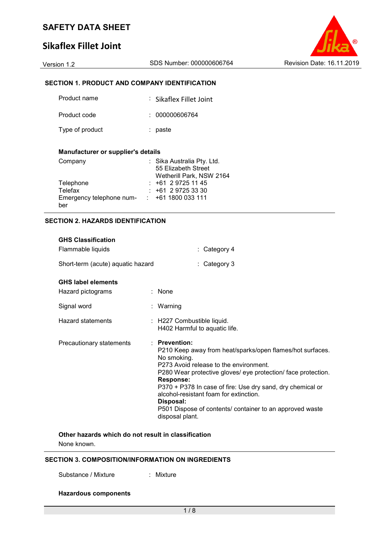# **Sikaflex Fillet Joint**



## **SECTION 1. PRODUCT AND COMPANY IDENTIFICATION**

| Product name    | : Sikaflex Fillet Joint |
|-----------------|-------------------------|
| Product code    | : 000000606764          |
| Type of product | paste                   |

#### **Manufacturer or supplier's details**

| Company                  | : Sika Australia Pty. Ltd. |
|--------------------------|----------------------------|
|                          | 55 Elizabeth Street        |
|                          | Wetherill Park, NSW 2164   |
| Telephone                | $: +61297251145$           |
| Telefax                  | $: +61297253330$           |
| Emergency telephone num- | $\div$ +61 1800 033 111    |
| ber                      |                            |

### **SECTION 2. HAZARDS IDENTIFICATION**

| <b>GHS Classification</b>         |                                                                                                                                                                                                                                                                                                                                                                                                                              |
|-----------------------------------|------------------------------------------------------------------------------------------------------------------------------------------------------------------------------------------------------------------------------------------------------------------------------------------------------------------------------------------------------------------------------------------------------------------------------|
| Flammable liquids                 | $:$ Category 4                                                                                                                                                                                                                                                                                                                                                                                                               |
| Short-term (acute) aquatic hazard | $\therefore$ Category 3                                                                                                                                                                                                                                                                                                                                                                                                      |
| <b>GHS label elements</b>         |                                                                                                                                                                                                                                                                                                                                                                                                                              |
| Hazard pictograms                 | $:$ None                                                                                                                                                                                                                                                                                                                                                                                                                     |
| Signal word                       | : Warning                                                                                                                                                                                                                                                                                                                                                                                                                    |
| <b>Hazard statements</b>          | : H227 Combustible liquid.<br>H402 Harmful to aquatic life.                                                                                                                                                                                                                                                                                                                                                                  |
| Precautionary statements          | · Prevention:<br>P210 Keep away from heat/sparks/open flames/hot surfaces.<br>No smoking.<br>P273 Avoid release to the environment.<br>P280 Wear protective gloves/ eye protection/ face protection.<br><b>Response:</b><br>P370 + P378 In case of fire: Use dry sand, dry chemical or<br>alcohol-resistant foam for extinction.<br>Disposal:<br>P501 Dispose of contents/ container to an approved waste<br>disposal plant. |

## **Other hazards which do not result in classification**

None known.

### **SECTION 3. COMPOSITION/INFORMATION ON INGREDIENTS**

Substance / Mixture : Mixture

**Hazardous components**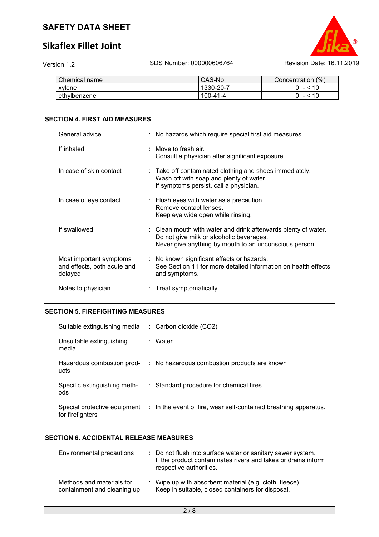# **Sikaflex Fillet Joint**



| Chemical name | CAS-No.        | Concentration (%) |
|---------------|----------------|-------------------|
| <b>xylene</b> | 1330-20-7      | $- < 10$          |
| lethvlbenzene | $100 - 41 - 4$ |                   |

### **SECTION 4. FIRST AID MEASURES**

| General advice                                                    | : No hazards which require special first aid measures.                                                                                                               |
|-------------------------------------------------------------------|----------------------------------------------------------------------------------------------------------------------------------------------------------------------|
| If inhaled                                                        | $\therefore$ Move to fresh air.<br>Consult a physician after significant exposure.                                                                                   |
| In case of skin contact                                           | : Take off contaminated clothing and shoes immediately.<br>Wash off with soap and plenty of water.<br>If symptoms persist, call a physician.                         |
| In case of eye contact                                            | $\therefore$ Flush eyes with water as a precaution.<br>Remove contact lenses.<br>Keep eye wide open while rinsing.                                                   |
| If swallowed                                                      | : Clean mouth with water and drink afterwards plenty of water.<br>Do not give milk or alcoholic beverages.<br>Never give anything by mouth to an unconscious person. |
| Most important symptoms<br>and effects, both acute and<br>delayed | : No known significant effects or hazards.<br>See Section 11 for more detailed information on health effects<br>and symptoms.                                        |
| Notes to physician                                                | $:$ Treat symptomatically.                                                                                                                                           |

## **SECTION 5. FIREFIGHTING MEASURES**

| Suitable extinguishing media        | $\therefore$ Carbon dioxide (CO2)                                                             |
|-------------------------------------|-----------------------------------------------------------------------------------------------|
| Unsuitable extinguishing<br>media   | : Water                                                                                       |
| Hazardous combustion prod-<br>ucts  | : No hazardous combustion products are known                                                  |
| Specific extinguishing meth-<br>ods | : Standard procedure for chemical fires.                                                      |
| for firefighters                    | Special protective equipment : In the event of fire, wear self-contained breathing apparatus. |

## **SECTION 6. ACCIDENTAL RELEASE MEASURES**

| Environmental precautions                                | : Do not flush into surface water or sanitary sewer system.<br>If the product contaminates rivers and lakes or drains inform<br>respective authorities. |
|----------------------------------------------------------|---------------------------------------------------------------------------------------------------------------------------------------------------------|
| Methods and materials for<br>containment and cleaning up | : Wipe up with absorbent material (e.g. cloth, fleece).<br>Keep in suitable, closed containers for disposal.                                            |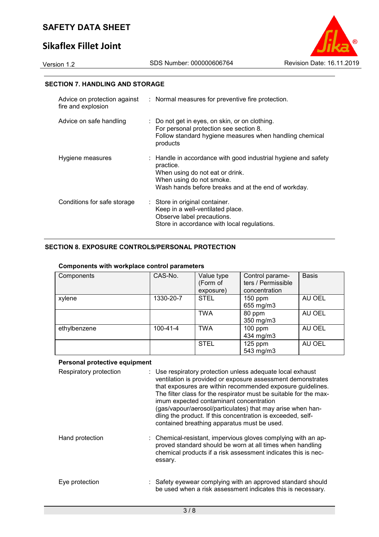# **Sikaflex Fillet Joint**



## **SECTION 7. HANDLING AND STORAGE**

| fire and explosion          | Advice on protection against : Normal measures for preventive fire protection.                                                                                                                    |
|-----------------------------|---------------------------------------------------------------------------------------------------------------------------------------------------------------------------------------------------|
| Advice on safe handling     | : Do not get in eyes, on skin, or on clothing.<br>For personal protection see section 8.<br>Follow standard hygiene measures when handling chemical<br>products                                   |
| Hygiene measures            | : Handle in accordance with good industrial hygiene and safety<br>practice.<br>When using do not eat or drink.<br>When using do not smoke.<br>Wash hands before breaks and at the end of workday. |
| Conditions for safe storage | : Store in original container.<br>Keep in a well-ventilated place.<br>Observe label precautions.<br>Store in accordance with local regulations.                                                   |

## **SECTION 8. EXPOSURE CONTROLS/PERSONAL PROTECTION**

#### **Components with workplace control parameters**

| Components   | CAS-No.        | Value type<br>(Form of<br>exposure) | Control parame-<br>ters / Permissible<br>concentration | <b>Basis</b> |
|--------------|----------------|-------------------------------------|--------------------------------------------------------|--------------|
| xylene       | 1330-20-7      | <b>STEL</b>                         | $150$ ppm<br>655 mg/m3                                 | AU OEL       |
|              |                | <b>TWA</b>                          | 80 ppm<br>350 mg/m3                                    | AU OEL       |
| ethylbenzene | $100 - 41 - 4$ | <b>TWA</b>                          | $100$ ppm<br>434 mg/m3                                 | AU OEL       |
|              |                | <b>STEL</b>                         | $125$ ppm<br>543 mg/m3                                 | AU OEL       |

#### **Personal protective equipment**

| Respiratory protection | : Use respiratory protection unless adequate local exhaust<br>ventilation is provided or exposure assessment demonstrates<br>that exposures are within recommended exposure guidelines.<br>The filter class for the respirator must be suitable for the max-<br>imum expected contaminant concentration<br>(gas/vapour/aerosol/particulates) that may arise when han-<br>dling the product. If this concentration is exceeded, self-<br>contained breathing apparatus must be used. |
|------------------------|-------------------------------------------------------------------------------------------------------------------------------------------------------------------------------------------------------------------------------------------------------------------------------------------------------------------------------------------------------------------------------------------------------------------------------------------------------------------------------------|
| Hand protection        | : Chemical-resistant, impervious gloves complying with an ap-<br>proved standard should be worn at all times when handling<br>chemical products if a risk assessment indicates this is nec-<br>essary.                                                                                                                                                                                                                                                                              |
| Eye protection         | : Safety eyewear complying with an approved standard should<br>be used when a risk assessment indicates this is necessary.                                                                                                                                                                                                                                                                                                                                                          |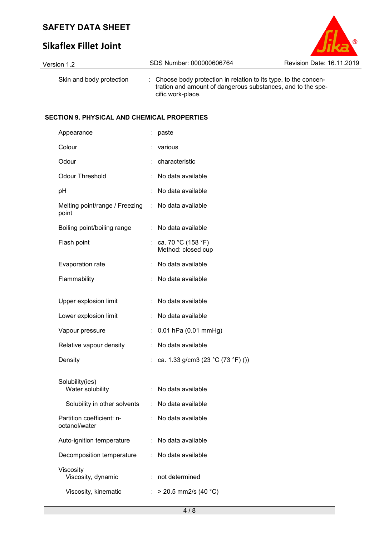# **Sikaflex Fillet Joint**

| Version 1.2              | SDS Number: 000000606764                                                                                                                             | <b>Revision Date: 16.11.2019</b> |
|--------------------------|------------------------------------------------------------------------------------------------------------------------------------------------------|----------------------------------|
| Skin and body protection | : Choose body protection in relation to its type, to the concen-<br>tration and amount of dangerous substances, and to the spe-<br>cific work-place. |                                  |

 $\odot$ 

### **SECTION 9. PHYSICAL AND CHEMICAL PROPERTIES**

| Appearance                                 |    | paste                                      |
|--------------------------------------------|----|--------------------------------------------|
| Colour                                     |    | various                                    |
| Odour                                      |    | characteristic                             |
| <b>Odour Threshold</b>                     |    | No data available                          |
| рH                                         |    | No data available                          |
| Melting point/range / Freezing<br>point    |    | : No data available                        |
| Boiling point/boiling range                |    | : No data available                        |
| Flash point                                |    | : ca. 70 °C (158 °F)<br>Method: closed cup |
| Evaporation rate                           |    | No data available                          |
| Flammability                               |    | No data available                          |
| Upper explosion limit                      |    | No data available                          |
| Lower explosion limit                      |    | No data available                          |
| Vapour pressure                            |    | 0.01 hPa (0.01 mmHg)                       |
| Relative vapour density                    |    | No data available                          |
| Density                                    |    | ca. 1.33 g/cm3 (23 °C (73 °F) ())          |
| Solubility(ies)                            |    |                                            |
| Water solubility                           |    | No data available                          |
| Solubility in other solvents               |    | : No data available                        |
| Partition coefficient: n-<br>octanol/water |    | No data available                          |
| Auto-ignition temperature                  |    | No data available                          |
| Decomposition temperature                  |    | No data available                          |
| Viscosity<br>Viscosity, dynamic            |    | not determined                             |
| Viscosity, kinematic                       | t. | $>$ 20.5 mm2/s (40 °C)                     |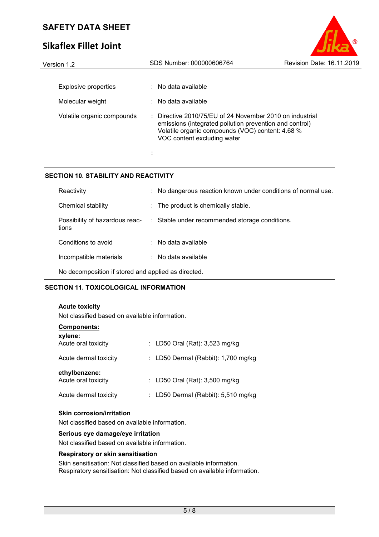# **Sikaflex Fillet Joint**

| Version 1.2                | SDS Number: 000000606764                                                                                                                                                                               | <b>Revision Date: 16.11.2019</b> |
|----------------------------|--------------------------------------------------------------------------------------------------------------------------------------------------------------------------------------------------------|----------------------------------|
|                            |                                                                                                                                                                                                        |                                  |
| Explosive properties       | $\therefore$ No data available                                                                                                                                                                         |                                  |
| Molecular weight           | $\therefore$ No data available                                                                                                                                                                         |                                  |
| Volatile organic compounds | : Directive 2010/75/EU of 24 November 2010 on industrial<br>emissions (integrated pollution prevention and control)<br>Volatile organic compounds (VOC) content: 4.68 %<br>VOC content excluding water |                                  |
|                            |                                                                                                                                                                                                        |                                  |

 $\circ$ 

## **SECTION 10. STABILITY AND REACTIVITY**

| Reactivity                                          |  | : No dangerous reaction known under conditions of normal use.                 |  |
|-----------------------------------------------------|--|-------------------------------------------------------------------------------|--|
| Chemical stability                                  |  | : The product is chemically stable.                                           |  |
| tions                                               |  | Possibility of hazardous reac- : Stable under recommended storage conditions. |  |
| Conditions to avoid                                 |  | $\therefore$ No data available                                                |  |
| Incompatible materials                              |  | $\therefore$ No data available                                                |  |
| No decomposition if stored and applied as directed. |  |                                                                               |  |

## **SECTION 11. TOXICOLOGICAL INFORMATION**

## **Acute toxicity**

Not classified based on available information.

| <b>Components:</b>                   |                                       |
|--------------------------------------|---------------------------------------|
| xylene:<br>Acute oral toxicity       | : LD50 Oral (Rat): 3,523 mg/kg        |
| Acute dermal toxicity                | : LD50 Dermal (Rabbit): $1,700$ mg/kg |
| ethylbenzene:<br>Acute oral toxicity | : LD50 Oral (Rat): 3,500 mg/kg        |
| Acute dermal toxicity                | : LD50 Dermal (Rabbit): 5,510 mg/kg   |

#### **Skin corrosion/irritation**

Not classified based on available information.

#### **Serious eye damage/eye irritation**

Not classified based on available information.

#### **Respiratory or skin sensitisation**

Skin sensitisation: Not classified based on available information. Respiratory sensitisation: Not classified based on available information.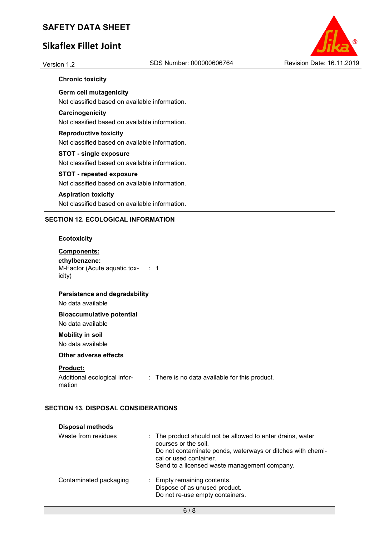# **Sikaflex Fillet Joint**



#### **Chronic toxicity**

**Germ cell mutagenicity**  Not classified based on available information.

#### **Carcinogenicity**

Not classified based on available information.

# **Reproductive toxicity**

Not classified based on available information.

## **STOT - single exposure**

Not classified based on available information.

### **STOT - repeated exposure**

Not classified based on available information.

#### **Aspiration toxicity**

Not classified based on available information.

#### **SECTION 12. ECOLOGICAL INFORMATION**

#### **Ecotoxicity**

#### **Components: ethylbenzene:**  M-Factor (Acute aquatic tox- : 1 icity)

#### **Persistence and degradability**

No data available

## **Bioaccumulative potential**

No data available

## **Mobility in soil**

No data available

### **Other adverse effects**

#### **Product:**

Additional ecological information : There is no data available for this product.

## **SECTION 13. DISPOSAL CONSIDERATIONS**

| <b>Disposal methods</b> |                                                                                                                                                                                                                            |
|-------------------------|----------------------------------------------------------------------------------------------------------------------------------------------------------------------------------------------------------------------------|
| Waste from residues     | : The product should not be allowed to enter drains, water<br>courses or the soil.<br>Do not contaminate ponds, waterways or ditches with chemi-<br>cal or used container.<br>Send to a licensed waste management company. |
| Contaminated packaging  | : Empty remaining contents.<br>Dispose of as unused product.<br>Do not re-use empty containers.                                                                                                                            |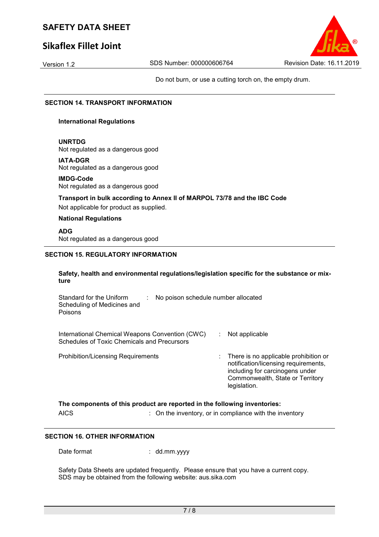# **Sikaflex Fillet Joint**

Do not burn, or use a cutting torch on, the empty drum.

### **SECTION 14. TRANSPORT INFORMATION**

#### **International Regulations**

#### **UNRTDG**

Not regulated as a dangerous good

#### **IATA-DGR**

Not regulated as a dangerous good

#### **IMDG-Code**

Not regulated as a dangerous good

#### **Transport in bulk according to Annex II of MARPOL 73/78 and the IBC Code**

Not applicable for product as supplied.

#### **National Regulations**

**ADG**

Not regulated as a dangerous good

### **SECTION 15. REGULATORY INFORMATION**

#### **Safety, health and environmental regulations/legislation specific for the substance or mixture**

| Standard for the Uniform<br>No poison schedule number allocated<br>Scheduling of Medicines and<br>Poisons |                                                                                                                                                                      |
|-----------------------------------------------------------------------------------------------------------|----------------------------------------------------------------------------------------------------------------------------------------------------------------------|
| International Chemical Weapons Convention (CWC)<br>Schedules of Toxic Chemicals and Precursors            | Not applicable                                                                                                                                                       |
| <b>Prohibition/Licensing Requirements</b>                                                                 | There is no applicable prohibition or<br>notification/licensing requirements,<br>including for carcinogens under<br>Commonwealth, State or Territory<br>legislation. |

| The components of this product are reported in the following inventories: |                                                         |  |
|---------------------------------------------------------------------------|---------------------------------------------------------|--|
| AICS                                                                      | : On the inventory, or in compliance with the inventory |  |

#### **SECTION 16. OTHER INFORMATION**

Date format : dd.mm.yyyy

Safety Data Sheets are updated frequently. Please ensure that you have a current copy. SDS may be obtained from the following website: aus.sika.com